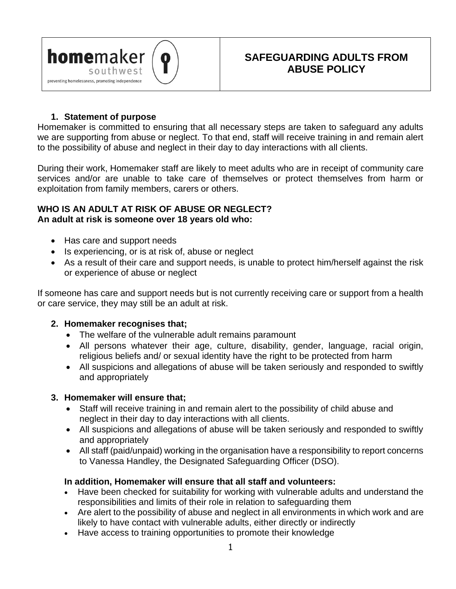

# **SAFEGUARDING ADULTS FROM ABUSE POLICY**

## **1. Statement of purpose**

Homemaker is committed to ensuring that all necessary steps are taken to safeguard any adults we are supporting from abuse or neglect. To that end, staff will receive training in and remain alert to the possibility of abuse and neglect in their day to day interactions with all clients.

During their work, Homemaker staff are likely to meet adults who are in receipt of community care services and/or are unable to take care of themselves or protect themselves from harm or exploitation from family members, carers or others.

#### **WHO IS AN ADULT AT RISK OF ABUSE OR NEGLECT? An adult at risk is someone over 18 years old who:**

- Has care and support needs
- Is experiencing, or is at risk of, abuse or neglect
- As a result of their care and support needs, is unable to protect him/herself against the risk or experience of abuse or neglect

If someone has care and support needs but is not currently receiving care or support from a health or care service, they may still be an adult at risk.

## **2. Homemaker recognises that;**

- The welfare of the vulnerable adult remains paramount
- All persons whatever their age, culture, disability, gender, language, racial origin, religious beliefs and/ or sexual identity have the right to be protected from harm
- All suspicions and allegations of abuse will be taken seriously and responded to swiftly and appropriately

#### **3. Homemaker will ensure that;**

- Staff will receive training in and remain alert to the possibility of child abuse and neglect in their day to day interactions with all clients.
- All suspicions and allegations of abuse will be taken seriously and responded to swiftly and appropriately
- All staff (paid/unpaid) working in the organisation have a responsibility to report concerns to Vanessa Handley, the Designated Safeguarding Officer (DSO).

## **In addition, Homemaker will ensure that all staff and volunteers:**

- Have been checked for suitability for working with vulnerable adults and understand the responsibilities and limits of their role in relation to safeguarding them
- Are alert to the possibility of abuse and neglect in all environments in which work and are likely to have contact with vulnerable adults, either directly or indirectly
- Have access to training opportunities to promote their knowledge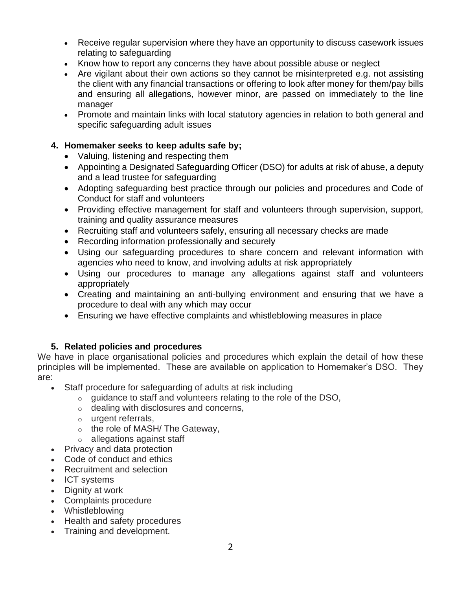- Receive regular supervision where they have an opportunity to discuss casework issues relating to safeguarding
- Know how to report any concerns they have about possible abuse or neglect
- Are vigilant about their own actions so they cannot be misinterpreted e.g. not assisting the client with any financial transactions or offering to look after money for them/pay bills and ensuring all allegations, however minor, are passed on immediately to the line manager
- Promote and maintain links with local statutory agencies in relation to both general and specific safeguarding adult issues

## **4. Homemaker seeks to keep adults safe by;**

- Valuing, listening and respecting them
- Appointing a Designated Safeguarding Officer (DSO) for adults at risk of abuse, a deputy and a lead trustee for safeguarding
- Adopting safeguarding best practice through our policies and procedures and Code of Conduct for staff and volunteers
- Providing effective management for staff and volunteers through supervision, support, training and quality assurance measures
- Recruiting staff and volunteers safely, ensuring all necessary checks are made
- Recording information professionally and securely
- Using our safeguarding procedures to share concern and relevant information with agencies who need to know, and involving adults at risk appropriately
- Using our procedures to manage any allegations against staff and volunteers appropriately
- Creating and maintaining an anti-bullying environment and ensuring that we have a procedure to deal with any which may occur
- Ensuring we have effective complaints and whistleblowing measures in place

# **5. Related policies and procedures**

We have in place organisational policies and procedures which explain the detail of how these principles will be implemented. These are available on application to Homemaker's DSO. They are:

- Staff procedure for safeguarding of adults at risk including
	- $\circ$  quidance to staff and volunteers relating to the role of the DSO,
	- $\circ$  dealing with disclosures and concerns,
	- o urgent referrals,
	- o the role of MASH/ The Gateway,
	- o allegations against staff
- Privacy and data protection
- Code of conduct and ethics
- Recruitment and selection
- ICT systems
- Dignity at work
- Complaints procedure
- Whistleblowing
- Health and safety procedures
- Training and development.